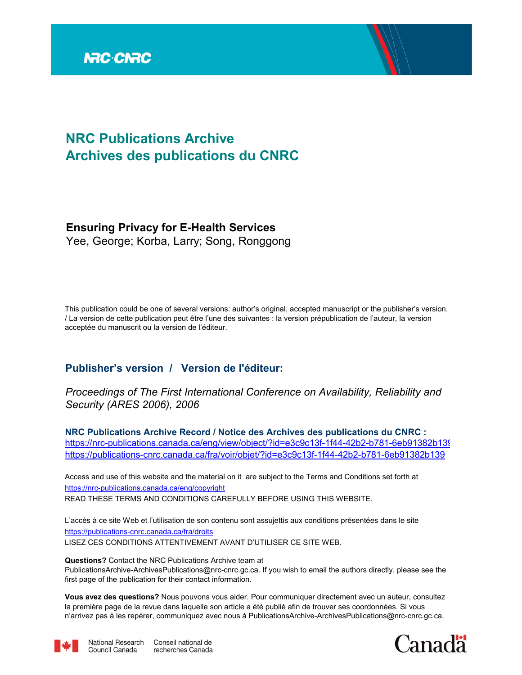

# **NRC Publications Archive Archives des publications du CNRC**

# **Ensuring Privacy for E-Health Services**

Yee, George; Korba, Larry; Song, Ronggong

This publication could be one of several versions: author's original, accepted manuscript or the publisher's version. / La version de cette publication peut être l'une des suivantes : la version prépublication de l'auteur, la version acceptée du manuscrit ou la version de l'éditeur.

# **Publisher's version / Version de l'éditeur:**

*Proceedings of The First International Conference on Availability, Reliability and Security (ARES 2006), 2006*

**NRC Publications Archive Record / Notice des Archives des publications du CNRC :** https://nrc-publications.canada.ca/eng/view/object/?id=e3c9c13f-1f44-42b2-b781-6eb91382b139 https://publications-cnrc.canada.ca/fra/voir/objet/?id=e3c9c13f-1f44-42b2-b781-6eb91382b139

READ THESE TERMS AND CONDITIONS CAREFULLY BEFORE USING THIS WEBSITE. https://nrc-publications.canada.ca/eng/copyright Access and use of this website and the material on it are subject to the Terms and Conditions set forth at

https://publications-cnrc.canada.ca/fra/droits L'accès à ce site Web et l'utilisation de son contenu sont assujettis aux conditions présentées dans le site LISEZ CES CONDITIONS ATTENTIVEMENT AVANT D'UTILISER CE SITE WEB.

**Questions?** Contact the NRC Publications Archive team at

PublicationsArchive-ArchivesPublications@nrc-cnrc.gc.ca. If you wish to email the authors directly, please see the first page of the publication for their contact information.

**Vous avez des questions?** Nous pouvons vous aider. Pour communiquer directement avec un auteur, consultez la première page de la revue dans laquelle son article a été publié afin de trouver ses coordonnées. Si vous n'arrivez pas à les repérer, communiquez avec nous à PublicationsArchive-ArchivesPublications@nrc-cnrc.gc.ca.



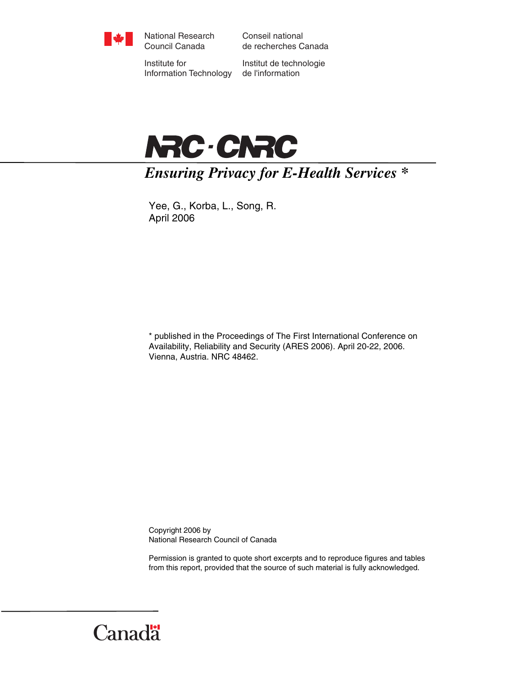

National Research Council Canada

Conseil national de recherches Canada

Institute for Information Technology

Institut de technologie de l'information



*Ensuring Privacy for E-Health Services \** 

Yee, G., Korba, L., Song, R. April 2006

\* published in the Proceedings of The First International Conference on Availability, Reliability and Security (ARES 2006). April 20-22, 2006. Vienna, Austria. NRC 48462.

Copyright 2006 by National Research Council of Canada

Permission is granted to quote short excerpts and to reproduce figures and tables from this report, provided that the source of such material is fully acknowledged.

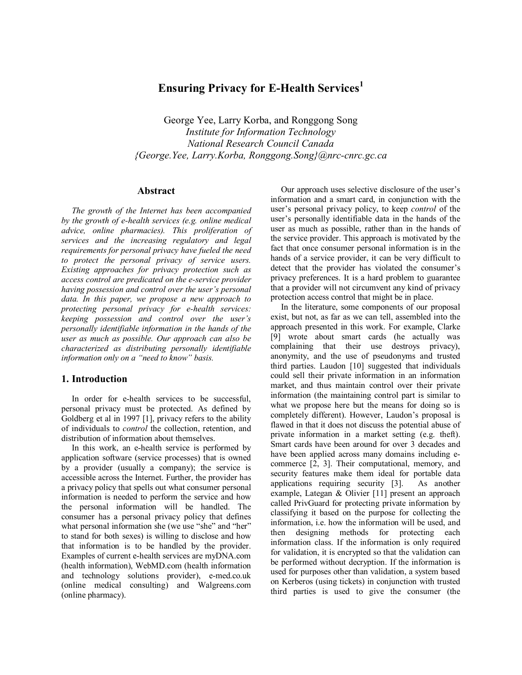# **Ensuring Privacy for E-Health Services<sup>1</sup>**

George Yee, Larry Korba, and Ronggong Song *Institute for Information Technology National Research Council Canada {George.Yee, Larry.Korba, Ronggong.Song}@nrc-cnrc.gc.ca* 

#### **Abstract**

*The growth of the Internet has been accompanied by the growth of e-health services (e.g. online medical advice, online pharmacies). This proliferation of services and the increasing regulatory and legal requirements for personal privacy have fueled the need to protect the personal privacy of service users. Existing approaches for privacy protection such as access control are predicated on the e-service provider having possession and control over the user's personal data. In this paper, we propose a new approach to protecting personal privacy for e-health services: keeping possession and control over the user's personally identifiable information in the hands of the user as much as possible. Our approach can also be characterized as distributing personally identifiable information only on a "need to know" basis.* 

### **1. Introduction**

In order for e-health services to be successful, personal privacy must be protected. As defined by Goldberg et al in 1997 [1], privacy refers to the ability of individuals to *control* the collection, retention, and distribution of information about themselves.

In this work, an e-health service is performed by application software (service processes) that is owned by a provider (usually a company); the service is accessible across the Internet. Further, the provider has a privacy policy that spells out what consumer personal information is needed to perform the service and how the personal information will be handled. The consumer has a personal privacy policy that defines what personal information she (we use "she" and "her" to stand for both sexes) is willing to disclose and how that information is to be handled by the provider. Examples of current e-health services are myDNA.com (health information), WebMD.com (health information and technology solutions provider), e-med.co.uk (online medical consulting) and Walgreens.com (online pharmacy).

Our approach uses selective disclosure of the user's information and a smart card, in conjunction with the user's personal privacy policy, to keep *control* of the user's personally identifiable data in the hands of the user as much as possible, rather than in the hands of the service provider. This approach is motivated by the fact that once consumer personal information is in the hands of a service provider, it can be very difficult to detect that the provider has violated the consumer's privacy preferences. It is a hard problem to guarantee that a provider will not circumvent any kind of privacy protection access control that might be in place.

In the literature, some components of our proposal exist, but not, as far as we can tell, assembled into the approach presented in this work. For example, Clarke [9] wrote about smart cards (he actually was complaining that their use destroys privacy), anonymity, and the use of pseudonyms and trusted third parties. Laudon [10] suggested that individuals could sell their private information in an information market, and thus maintain control over their private information (the maintaining control part is similar to what we propose here but the means for doing so is completely different). However, Laudon's proposal is flawed in that it does not discuss the potential abuse of private information in a market setting (e.g. theft). Smart cards have been around for over 3 decades and have been applied across many domains including ecommerce [2, 3]. Their computational, memory, and security features make them ideal for portable data applications requiring security [3]. As another example, Lategan & Olivier [11] present an approach called PrivGuard for protecting private information by classifying it based on the purpose for collecting the information, i.e. how the information will be used, and then designing methods for protecting each information class. If the information is only required for validation, it is encrypted so that the validation can be performed without decryption. If the information is used for purposes other than validation, a system based on Kerberos (using tickets) in conjunction with trusted third parties is used to give the consumer (the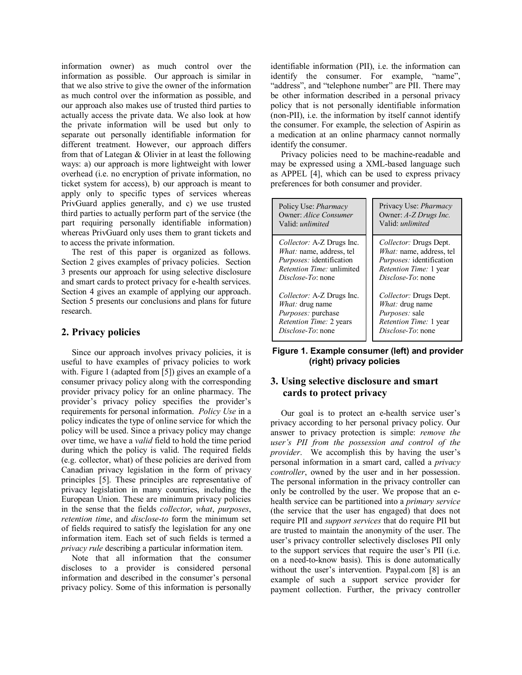information owner) as much control over the information as possible. Our approach is similar in that we also strive to give the owner of the information as much control over the information as possible, and our approach also makes use of trusted third parties to actually access the private data. We also look at how the private information will be used but only to separate out personally identifiable information for different treatment. However, our approach differs from that of Lategan & Olivier in at least the following ways: a) our approach is more lightweight with lower overhead (i.e. no encryption of private information, no ticket system for access), b) our approach is meant to apply only to specific types of services whereas PrivGuard applies generally, and c) we use trusted third parties to actually perform part of the service (the part requiring personally identifiable information) whereas PrivGuard only uses them to grant tickets and to access the private information.

The rest of this paper is organized as follows. Section 2 gives examples of privacy policies. Section 3 presents our approach for using selective disclosure and smart cards to protect privacy for e-health services. Section 4 gives an example of applying our approach. Section 5 presents our conclusions and plans for future research.

### **2. Privacy policies**

Since our approach involves privacy policies, it is useful to have examples of privacy policies to work with. Figure 1 (adapted from [5]) gives an example of a consumer privacy policy along with the corresponding provider privacy policy for an online pharmacy. The provider's privacy policy specifies the provider's requirements for personal information. *Policy Use* in a policy indicates the type of online service for which the policy will be used. Since a privacy policy may change over time, we have a *valid* field to hold the time period during which the policy is valid. The required fields (e.g. collector, what) of these policies are derived from Canadian privacy legislation in the form of privacy principles [5]. These principles are representative of privacy legislation in many countries, including the European Union. These are minimum privacy policies in the sense that the fields *collector*, *what*, *purposes*, *retention time*, and *disclose-to* form the minimum set of fields required to satisfy the legislation for any one information item. Each set of such fields is termed a *privacy rule* describing a particular information item.

Note that all information that the consumer discloses to a provider is considered personal information and described in the consumer's personal privacy policy. Some of this information is personally identifiable information (PII), i.e. the information can identify the consumer. For example, "name", "address", and "telephone number" are PII. There may be other information described in a personal privacy policy that is not personally identifiable information (non-PII), i.e. the information by itself cannot identify the consumer. For example, the selection of Aspirin as a medication at an online pharmacy cannot normally identify the consumer.

Privacy policies need to be machine-readable and may be expressed using a XML-based language such as APPEL [4], which can be used to express privacy preferences for both consumer and provider.

| Policy Use: <i>Pharmacy</i>      | Privacy Use: Pharmacy           |
|----------------------------------|---------------------------------|
| Owner: Alice Consumer            | Owner: A-Z Drugs Inc.           |
| Valid: <i>unlimited</i>          | Valid: <i>unlimited</i>         |
| <i>Collector:</i> A-Z Drugs Inc. | <i>Collector: Drugs Dept.</i>   |
| <i>What:</i> name, address, tel  | <i>What:</i> name, address, tel |
| <i>Purposes:</i> identification  | <i>Purposes:</i> identification |
| <i>Retention Time:</i> unlimited | <i>Retention Time: 1 year</i>   |
| <i>Disclose-To:</i> none         | <i>Disclose-To:</i> none        |
| Collector: A-Z Drugs Inc.        | <i>Collector: Drugs Dept.</i>   |
| <i>What:</i> drug name           | <i>What:</i> drug name          |
| Purposes: purchase               | <i>Purposes:</i> sale           |
| <i>Retention Time: 2 years</i>   | <i>Retention Time: 1 year</i>   |
| Disclose-To: none                | <i>Disclose-To:</i> none        |

#### **Figure 1. Example consumer (left) and provider (right) privacy policies**

# **3. Using selective disclosure and smart cards to protect privacy**

Our goal is to protect an e-health service user's privacy according to her personal privacy policy. Our answer to privacy protection is simple: *remove the user's PII from the possession and control of the provider*. We accomplish this by having the user's personal information in a smart card, called a *privacy controller*, owned by the user and in her possession. The personal information in the privacy controller can only be controlled by the user. We propose that an ehealth service can be partitioned into a *primary service*  (the service that the user has engaged) that does not require PII and *support services* that do require PII but are trusted to maintain the anonymity of the user. The user's privacy controller selectively discloses PII only to the support services that require the user's PII (i.e. on a need-to-know basis). This is done automatically without the user's intervention. Paypal.com [8] is an example of such a support service provider for payment collection. Further, the privacy controller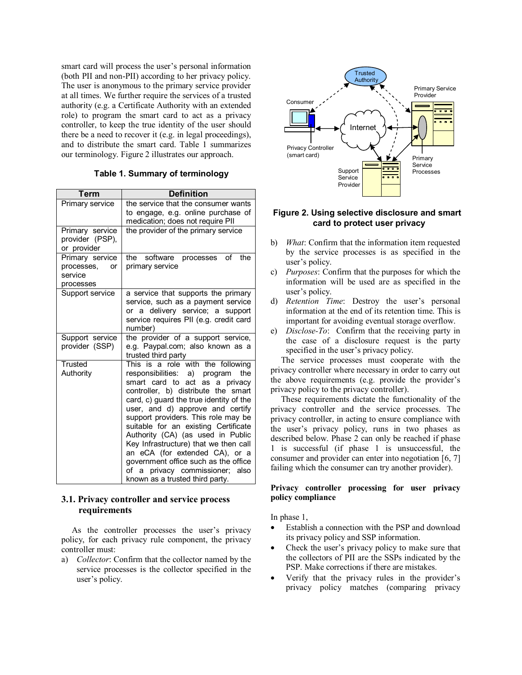smart card will process the user's personal information (both PII and non-PII) according to her privacy policy. The user is anonymous to the primary service provider at all times. We further require the services of a trusted authority (e.g. a Certificate Authority with an extended role) to program the smart card to act as a privacy controller, to keep the true identity of the user should there be a need to recover it (e.g. in legal proceedings), and to distribute the smart card. Table 1 summarizes our terminology. Figure 2 illustrates our approach.

| <b>Term</b>                                                 | <b>Definition</b>                                                                                                                                                                                                                                                                                                                                                                                                                                                                                                                                      |
|-------------------------------------------------------------|--------------------------------------------------------------------------------------------------------------------------------------------------------------------------------------------------------------------------------------------------------------------------------------------------------------------------------------------------------------------------------------------------------------------------------------------------------------------------------------------------------------------------------------------------------|
| Primary service                                             | the service that the consumer wants<br>to engage, e.g. online purchase of<br>medication; does not require PII                                                                                                                                                                                                                                                                                                                                                                                                                                          |
| Primary service<br>provider (PSP),<br>or provider           | the provider of the primary service                                                                                                                                                                                                                                                                                                                                                                                                                                                                                                                    |
| Primary service<br>processes,<br>or<br>service<br>processes | the<br>software<br>processes of<br>the<br>primary service                                                                                                                                                                                                                                                                                                                                                                                                                                                                                              |
| Support service                                             | a service that supports the primary<br>service, such as a payment service<br>or a delivery service; a support<br>service requires PII (e.g. credit card<br>number)                                                                                                                                                                                                                                                                                                                                                                                     |
| Support service<br>provider (SSP)                           | the provider of a support service,<br>e.g. Paypal.com; also known as a<br>trusted third party                                                                                                                                                                                                                                                                                                                                                                                                                                                          |
| Trusted<br>Authority                                        | This is a role with the following<br>responsibilities:<br>a) program<br>the<br>smart card to act as<br>a privacy<br>controller, b) distribute the smart<br>card, c) guard the true identity of the<br>user, and d) approve and certify<br>support providers. This role may be<br>suitable for an existing Certificate<br>Authority (CA) (as used in Public<br>Key Infrastructure) that we then call<br>an eCA (for extended CA), or a<br>government office such as the office<br>of a privacy commissioner;<br>also<br>known as a trusted third party. |

## **3.1. Privacy controller and service process requirements**

As the controller processes the user's privacy policy, for each privacy rule component, the privacy controller must:

a) *Collector*: Confirm that the collector named by the service processes is the collector specified in the user's policy.



### **Figure 2. Using selective disclosure and smart card to protect user privacy**

- b) *What*: Confirm that the information item requested by the service processes is as specified in the user's policy.
- c) *Purposes*: Confirm that the purposes for which the information will be used are as specified in the user's policy.
- d) *Retention Time*: Destroy the user's personal information at the end of its retention time. This is important for avoiding eventual storage overflow.
- e) *Disclose-To*: Confirm that the receiving party in the case of a disclosure request is the party specified in the user's privacy policy.

The service processes must cooperate with the privacy controller where necessary in order to carry out the above requirements (e.g. provide the provider's privacy policy to the privacy controller).

These requirements dictate the functionality of the privacy controller and the service processes. The privacy controller, in acting to ensure compliance with the user's privacy policy, runs in two phases as described below. Phase 2 can only be reached if phase 1 is successful (if phase 1 is unsuccessful, the consumer and provider can enter into negotiation [6, 7] failing which the consumer can try another provider).

#### **Privacy controller processing for user privacy policy compliance**

In phase 1,

- Establish a connection with the PSP and download its privacy policy and SSP information.
- Check the user's privacy policy to make sure that the collectors of PII are the SSPs indicated by the PSP. Make corrections if there are mistakes.
- Verify that the privacy rules in the provider's privacy policy matches (comparing privacy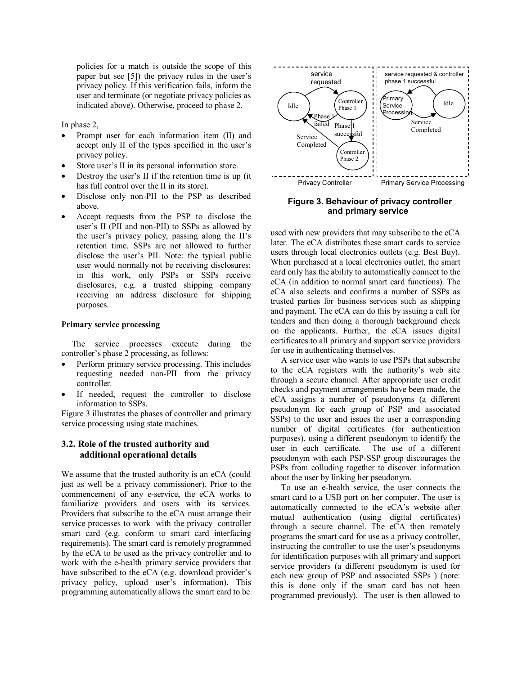policies for a match is outside the scope of this paper but see [5]) the privacy rules in the user's privacy policy. If this verification fails, inform the user and terminate (or negotiate privacy policies as indicated above). Otherwise, proceed to phase 2.

In phase 2,

- Prompt user for each information item (II) and accept only II of the types specified in the user's privacy policy.
- Store user's II in its personal information store.
- Destroy the user's II if the retention time is up (it has full control over the II in its store).
- Disclose only non-PII to the PSP as described above.
- Accept requests from the PSP to disclose the user's II (PII and non-PII) to SSPs as allowed by the user's privacy policy, passing along the II's retention time. SSPs are not allowed to further disclose the user's PII. Note: the typical public user would normally not be receiving disclosures; in this work, only PSPs or SSPs receive disclosures, e.g. a trusted shipping company receiving an address disclosure for shipping purposes.

#### **Primary service processing**

The service processes execute during the controller's phase 2 processing, as follows:

- Perform primary service processing. This includes requesting needed non-PII from the privacy controller.
- If needed, request the controller to disclose information to SSPs.

Figure 3 illustrates the phases of controller and primary service processing using state machines.

#### **3.2. Role of the trusted authority and additional operational details**

We assume that the trusted authority is an eCA (could just as well be a privacy commissioner). Prior to the commencement of any e-service, the eCA works to familiarize providers and users with its services. Providers that subscribe to the eCA must arrange their service processes to work with the privacy controller smart card (e.g. conform to smart card interfacing requirements). The smart card is remotely programmed by the eCA to be used as the privacy controller and to work with the e-health primary service providers that have subscribed to the eCA (e.g. download provider's privacy policy, upload user's information). This programming automatically allows the smart card to be



**Figure 3. Behaviour of privacy controller and primary service** 

used with new providers that may subscribe to the eCA later. The eCA distributes these smart cards to service users through local electronics outlets (e.g. Best Buy). When purchased at a local electronics outlet, the smart card only has the ability to automatically connect to the eCA (in addition to normal smart card functions). The eCA also selects and confirms a number of SSPs as trusted parties for business services such as shipping and payment. The eCA can do this by issuing a call for tenders and then doing a thorough background check on the applicants. Further, the eCA issues digital certificates to all primary and support service providers for use in authenticating themselves.

A service user who wants to use PSPs that subscribe to the eCA registers with the authority's web site through a secure channel. After appropriate user credit checks and payment arrangements have been made, the eCA assigns a number of pseudonyms (a different pseudonym for each group of PSP and associated SSPs) to the user and issues the user a corresponding number of digital certificates (for authentication purposes), using a different pseudonym to identify the user in each certificate. The use of a different pseudonym with each PSP-SSP group discourages the PSPs from colluding together to discover information about the user by linking her pseudonym.

To use an e-health service, the user connects the smart card to a USB port on her computer. The user is automatically connected to the eCA's website after mutual authentication (using digital certificates) through a secure channel. The eCA then remotely programs the smart card for use as a privacy controller, instructing the controller to use the user's pseudonyms for identification purposes with all primary and support service providers (a different pseudonym is used for each new group of PSP and associated SSPs ) (note: this is done only if the smart card has not been programmed previously). The user is then allowed to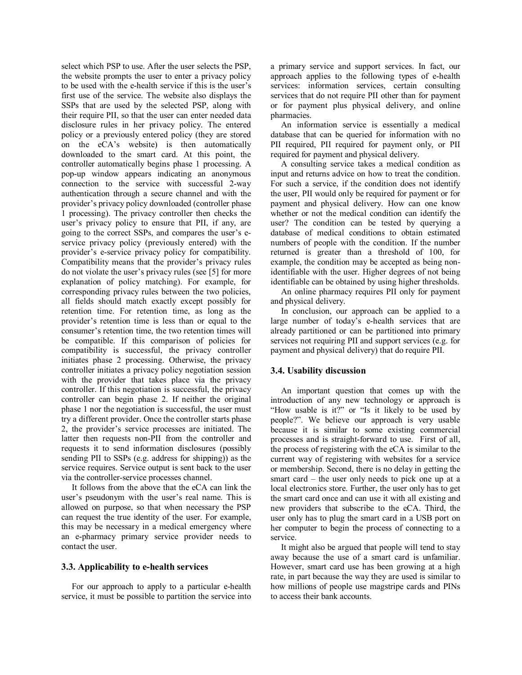select which PSP to use. After the user selects the PSP, the website prompts the user to enter a privacy policy to be used with the e-health service if this is the user's first use of the service. The website also displays the SSPs that are used by the selected PSP, along with their require PII, so that the user can enter needed data disclosure rules in her privacy policy. The entered policy or a previously entered policy (they are stored on the eCA's website) is then automatically downloaded to the smart card. At this point, the controller automatically begins phase 1 processing. A pop-up window appears indicating an anonymous connection to the service with successful 2-way authentication through a secure channel and with the provider's privacy policy downloaded (controller phase 1 processing). The privacy controller then checks the user's privacy policy to ensure that PII, if any, are going to the correct SSPs, and compares the user's eservice privacy policy (previously entered) with the provider's e-service privacy policy for compatibility. Compatibility means that the provider's privacy rules do not violate the user's privacy rules (see [5] for more explanation of policy matching). For example, for corresponding privacy rules between the two policies, all fields should match exactly except possibly for retention time. For retention time, as long as the provider's retention time is less than or equal to the consumer's retention time, the two retention times will be compatible. If this comparison of policies for compatibility is successful, the privacy controller initiates phase 2 processing. Otherwise, the privacy controller initiates a privacy policy negotiation session with the provider that takes place via the privacy controller. If this negotiation is successful, the privacy controller can begin phase 2. If neither the original phase 1 nor the negotiation is successful, the user must try a different provider. Once the controller starts phase 2, the provider's service processes are initiated. The latter then requests non-PII from the controller and requests it to send information disclosures (possibly sending PII to SSPs (e.g. address for shipping)) as the service requires. Service output is sent back to the user via the controller-service processes channel.

It follows from the above that the eCA can link the user's pseudonym with the user's real name. This is allowed on purpose, so that when necessary the PSP can request the true identity of the user. For example, this may be necessary in a medical emergency where an e-pharmacy primary service provider needs to contact the user.

#### **3.3. Applicability to e-health services**

For our approach to apply to a particular e-health service, it must be possible to partition the service into a primary service and support services. In fact, our approach applies to the following types of e-health services: information services, certain consulting services that do not require PII other than for payment or for payment plus physical delivery, and online pharmacies.

An information service is essentially a medical database that can be queried for information with no PII required, PII required for payment only, or PII required for payment and physical delivery.

A consulting service takes a medical condition as input and returns advice on how to treat the condition. For such a service, if the condition does not identify the user, PII would only be required for payment or for payment and physical delivery. How can one know whether or not the medical condition can identify the user? The condition can be tested by querying a database of medical conditions to obtain estimated numbers of people with the condition. If the number returned is greater than a threshold of 100, for example, the condition may be accepted as being nonidentifiable with the user. Higher degrees of not being identifiable can be obtained by using higher thresholds.

An online pharmacy requires PII only for payment and physical delivery.

In conclusion, our approach can be applied to a large number of today's e-health services that are already partitioned or can be partitioned into primary services not requiring PII and support services (e.g. for payment and physical delivery) that do require PII.

#### **3.4. Usability discussion**

An important question that comes up with the introduction of any new technology or approach is "How usable is it?" or "Is it likely to be used by people?". We believe our approach is very usable because it is similar to some existing commercial processes and is straight-forward to use. First of all, the process of registering with the eCA is similar to the current way of registering with websites for a service or membership. Second, there is no delay in getting the smart card – the user only needs to pick one up at a local electronics store. Further, the user only has to get the smart card once and can use it with all existing and new providers that subscribe to the eCA. Third, the user only has to plug the smart card in a USB port on her computer to begin the process of connecting to a service.

It might also be argued that people will tend to stay away because the use of a smart card is unfamiliar. However, smart card use has been growing at a high rate, in part because the way they are used is similar to how millions of people use magstripe cards and PINs to access their bank accounts.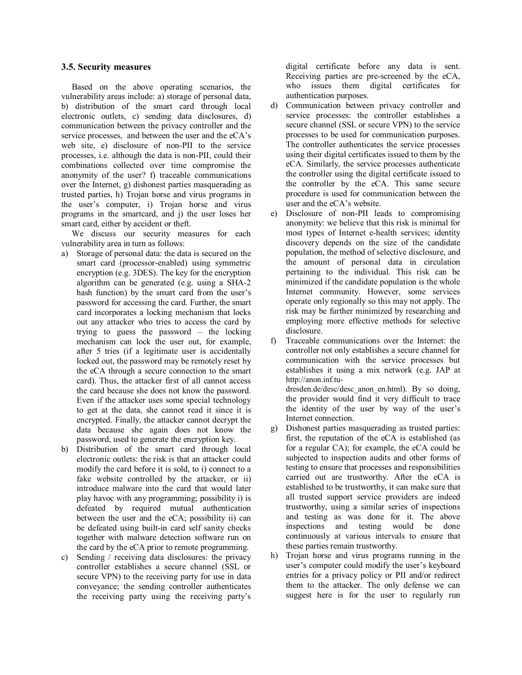#### **3.5. Security measures**

Based on the above operating scenarios, the vulnerability areas include: a) storage of personal data, b) distribution of the smart card through local electronic outlets, c) sending data disclosures, d) communication between the privacy controller and the service processes, and between the user and the eCA's web site, e) disclosure of non-PII to the service processes, i.e. although the data is non-PII, could their combinations collected over time compromise the anonymity of the user? f) traceable communications over the Internet, g) dishonest parties masquerading as trusted parties, h) Trojan horse and virus programs in the user's computer, i) Trojan horse and virus programs in the smartcard, and j) the user loses her smart card, either by accident or theft.

We discuss our security measures for each vulnerability area in turn as follows:

- a) Storage of personal data: the data is secured on the smart card (processor-enabled) using symmetric encryption (e.g. 3DES). The key for the encryption algorithm can be generated (e.g. using a SHA-2 hash function) by the smart card from the user's password for accessing the card. Further, the smart card incorporates a locking mechanism that locks out any attacker who tries to access the card by trying to guess the password – the locking mechanism can lock the user out, for example, after 5 tries (if a legitimate user is accidentally locked out, the password may be remotely reset by the eCA through a secure connection to the smart card). Thus, the attacker first of all cannot access the card because she does not know the password. Even if the attacker uses some special technology to get at the data, she cannot read it since it is encrypted. Finally, the attacker cannot decrypt the data because she again does not know the password, used to generate the encryption key.
- b) Distribution of the smart card through local electronic outlets: the risk is that an attacker could modify the card before it is sold, to i) connect to a fake website controlled by the attacker, or ii) introduce malware into the card that would later play havoc with any programming; possibility i) is defeated by required mutual authentication between the user and the eCA; possibility ii) can be defeated using built-in card self sanity checks together with malware detection software run on the card by the eCA prior to remote programming.
- c) Sending / receiving data disclosures: the privacy controller establishes a secure channel (SSL or secure VPN) to the receiving party for use in data conveyance; the sending controller authenticates the receiving party using the receiving party's

digital certificate before any data is sent. Receiving parties are pre-screened by the eCA, who issues them digital certificates for authentication purposes.

- d) Communication between privacy controller and service processes: the controller establishes a secure channel (SSL or secure VPN) to the service processes to be used for communication purposes. The controller authenticates the service processes using their digital certificates issued to them by the eCA. Similarly, the service processes authenticate the controller using the digital certificate issued to the controller by the eCA. This same secure procedure is used for communication between the user and the eCA's website.
- e) Disclosure of non-PII leads to compromising anonymity: we believe that this risk is minimal for most types of Internet e-health services; identity discovery depends on the size of the candidate population, the method of selective disclosure, and the amount of personal data in circulation pertaining to the individual. This risk can be minimized if the candidate population is the whole Internet community. However, some services operate only regionally so this may not apply. The risk may be further minimized by researching and employing more effective methods for selective disclosure.

f) Traceable communications over the Internet: the controller not only establishes a secure channel for communication with the service processes but establishes it using a mix network (e.g. JAP at http://anon.inf.tudresden.de/desc/desc\_anon\_en.html). By so doing,

the provider would find it very difficult to trace the identity of the user by way of the user's Internet connection.

- g) Dishonest parties masquerading as trusted parties: first, the reputation of the eCA is established (as for a regular CA); for example, the eCA could be subjected to inspection audits and other forms of testing to ensure that processes and responsibilities carried out are trustworthy. After the eCA is established to be trustworthy, it can make sure that all trusted support service providers are indeed trustworthy, using a similar series of inspections and testing as was done for it. The above inspections and testing would be done continuously at various intervals to ensure that these parties remain trustworthy.
- h) Trojan horse and virus programs running in the user's computer could modify the user's keyboard entries for a privacy policy or PII and/or redirect them to the attacker. The only defense we can suggest here is for the user to regularly run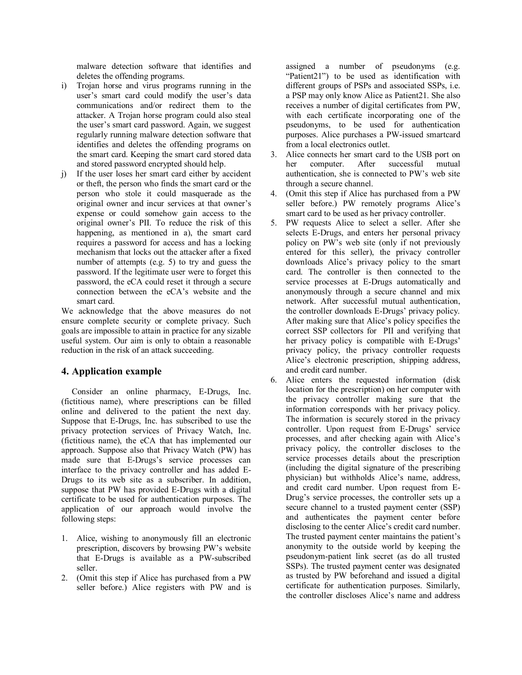malware detection software that identifies and deletes the offending programs.

- i) Trojan horse and virus programs running in the user's smart card could modify the user's data communications and/or redirect them to the attacker. A Trojan horse program could also steal the user's smart card password. Again, we suggest regularly running malware detection software that identifies and deletes the offending programs on the smart card. Keeping the smart card stored data and stored password encrypted should help.
- j) If the user loses her smart card either by accident or theft, the person who finds the smart card or the person who stole it could masquerade as the original owner and incur services at that owner's expense or could somehow gain access to the original owner's PII. To reduce the risk of this happening, as mentioned in a), the smart card requires a password for access and has a locking mechanism that locks out the attacker after a fixed number of attempts (e.g. 5) to try and guess the password. If the legitimate user were to forget this password, the eCA could reset it through a secure connection between the eCA's website and the smart card.

We acknowledge that the above measures do not ensure complete security or complete privacy. Such goals are impossible to attain in practice for any sizable useful system. Our aim is only to obtain a reasonable reduction in the risk of an attack succeeding.

## **4. Application example**

Consider an online pharmacy, E-Drugs, Inc. (fictitious name), where prescriptions can be filled online and delivered to the patient the next day. Suppose that E-Drugs, Inc. has subscribed to use the privacy protection services of Privacy Watch, Inc. (fictitious name), the eCA that has implemented our approach. Suppose also that Privacy Watch (PW) has made sure that E-Drugs's service processes can interface to the privacy controller and has added E-Drugs to its web site as a subscriber. In addition, suppose that PW has provided E-Drugs with a digital certificate to be used for authentication purposes. The application of our approach would involve the following steps:

- 1. Alice, wishing to anonymously fill an electronic prescription, discovers by browsing PW's website that E-Drugs is available as a PW-subscribed seller.
- 2. (Omit this step if Alice has purchased from a PW seller before.) Alice registers with PW and is

assigned a number of pseudonyms (e.g. "Patient21") to be used as identification with different groups of PSPs and associated SSPs, i.e. a PSP may only know Alice as Patient21. She also receives a number of digital certificates from PW, with each certificate incorporating one of the pseudonyms, to be used for authentication purposes. Alice purchases a PW-issued smartcard from a local electronics outlet.

- 3. Alice connects her smart card to the USB port on her computer. After successful mutual authentication, she is connected to PW's web site through a secure channel.
- 4. (Omit this step if Alice has purchased from a PW seller before.) PW remotely programs Alice's smart card to be used as her privacy controller.
- 5. PW requests Alice to select a seller. After she selects E-Drugs, and enters her personal privacy policy on PW's web site (only if not previously entered for this seller), the privacy controller downloads Alice's privacy policy to the smart card. The controller is then connected to the service processes at E-Drugs automatically and anonymously through a secure channel and mix network. After successful mutual authentication, the controller downloads E-Drugs' privacy policy. After making sure that Alice's policy specifies the correct SSP collectors for PII and verifying that her privacy policy is compatible with E-Drugs' privacy policy, the privacy controller requests Alice's electronic prescription, shipping address, and credit card number.
- 6. Alice enters the requested information (disk location for the prescription) on her computer with the privacy controller making sure that the information corresponds with her privacy policy. The information is securely stored in the privacy controller. Upon request from E-Drugs' service processes, and after checking again with Alice's privacy policy, the controller discloses to the service processes details about the prescription (including the digital signature of the prescribing physician) but withholds Alice's name, address, and credit card number. Upon request from E-Drug's service processes, the controller sets up a secure channel to a trusted payment center (SSP) and authenticates the payment center before disclosing to the center Alice's credit card number. The trusted payment center maintains the patient's anonymity to the outside world by keeping the pseudonym-patient link secret (as do all trusted SSPs). The trusted payment center was designated as trusted by PW beforehand and issued a digital certificate for authentication purposes. Similarly, the controller discloses Alice's name and address